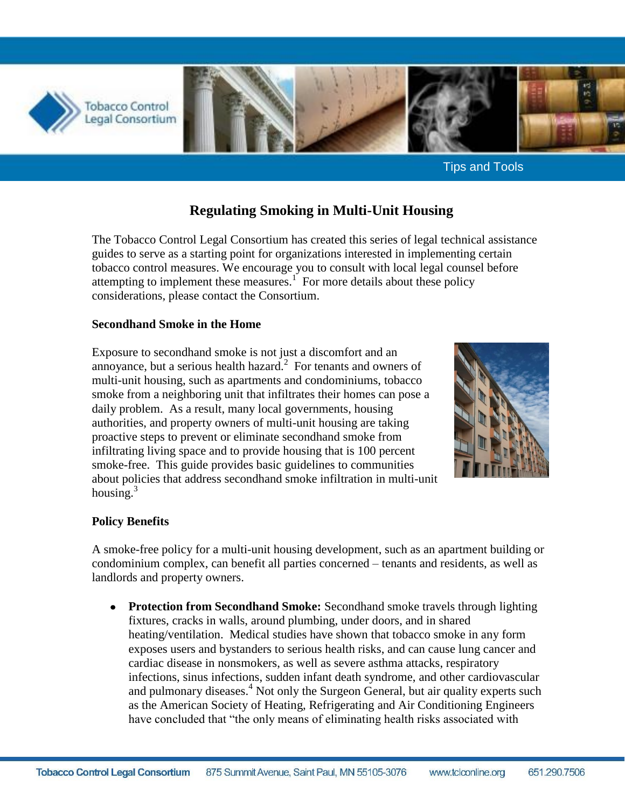

Tips and Tools

# **Regulating Smoking in Multi-Unit Housing**

The Tobacco Control Legal Consortium has created this series of legal technical assistance guides to serve as a starting point for organizations interested in implementing certain tobacco control measures. We encourage you to consult with local legal counsel before attempting to implement these measures.<sup>1</sup> For more details about these policy considerations, please contact the Consortium.

#### **Secondhand Smoke in the Home**

Exposure to secondhand smoke is not just a discomfort and an annoyance, but a serious health hazard. $2$  For tenants and owners of multi-unit housing, such as apartments and condominiums, tobacco smoke from a neighboring unit that infiltrates their homes can pose a daily problem. As a result, many local governments, housing authorities, and property owners of multi-unit housing are taking proactive steps to prevent or eliminate secondhand smoke from infiltrating living space and to provide housing that is 100 percent smoke-free. This guide provides basic guidelines to communities about policies that address secondhand smoke infiltration in multi-unit housing. $3$ 



#### **Policy Benefits**

A smoke-free policy for a multi-unit housing development, such as an apartment building or condominium complex, can benefit all parties concerned – tenants and residents, as well as landlords and property owners.

**Protection from Secondhand Smoke:** Secondhand smoke travels through lighting fixtures, cracks in walls, around plumbing, under doors, and in shared heating/ventilation. Medical studies have shown that tobacco smoke in any form exposes users and bystanders to serious health risks, and can cause lung cancer and cardiac disease in nonsmokers, as well as severe asthma attacks, respiratory infections, sinus infections, sudden infant death syndrome, and other cardiovascular and pulmonary diseases.<sup>4</sup> Not only the Surgeon General, but air quality experts such as the American Society of Heating, Refrigerating and Air Conditioning Engineers have concluded that "the only means of eliminating health risks associated with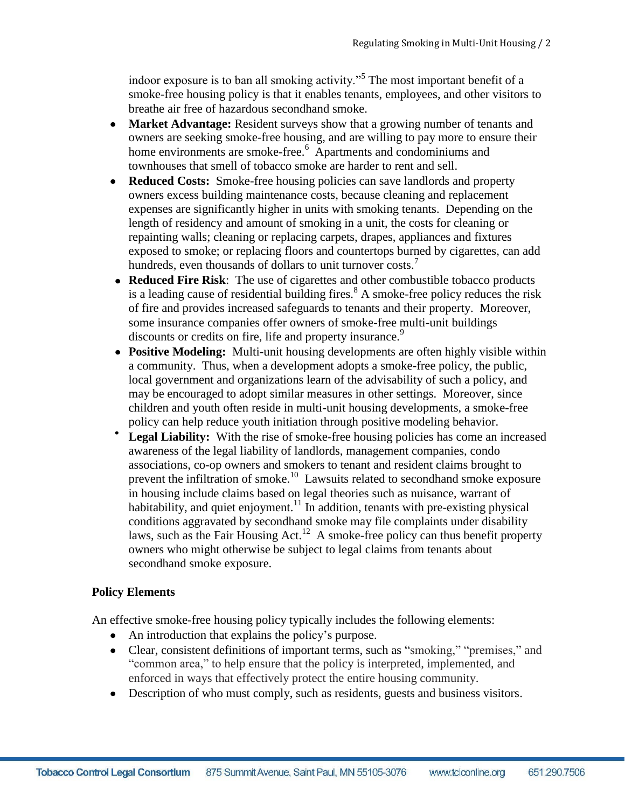indoor exposure is to ban all smoking activity."<sup>5</sup> The most important benefit of a smoke-free housing policy is that it enables tenants, employees, and other visitors to breathe air free of hazardous secondhand smoke.

- $\bullet$ **Market Advantage:** Resident surveys show that a growing number of tenants and owners are seeking smoke-free housing, and are willing to pay more to ensure their home environments are smoke-free.<sup>6</sup> Apartments and condominiums and townhouses that smell of tobacco smoke are harder to rent and sell.
- **Reduced Costs:** Smoke-free housing policies can save landlords and property owners excess building maintenance costs, because cleaning and replacement expenses are significantly higher in units with smoking tenants. Depending on the length of residency and amount of smoking in a unit, the costs for cleaning or repainting walls; cleaning or replacing carpets, drapes, appliances and fixtures exposed to smoke; or replacing floors and countertops burned by cigarettes, can add hundreds, even thousands of dollars to unit turnover costs.<sup>7</sup>
- **Reduced Fire Risk**: The use of cigarettes and other combustible tobacco products is a leading cause of residential building fires.<sup>8</sup> A smoke-free policy reduces the risk of fire and provides increased safeguards to tenants and their property. Moreover, some insurance companies offer owners of smoke-free multi-unit buildings discounts or credits on fire, life and property insurance.<sup>9</sup>
- **Positive Modeling:** Multi-unit housing developments are often highly visible within a community. Thus, when a development adopts a smoke-free policy, the public, local government and organizations learn of the advisability of such a policy, and may be encouraged to adopt similar measures in other settings. Moreover, since children and youth often reside in multi-unit housing developments, a smoke-free policy can help reduce youth initiation through positive modeling behavior.
- Legal Liability: With the rise of smoke-free housing policies has come an increased awareness of the legal liability of landlords, management companies, condo associations, co-op owners and smokers to tenant and resident claims brought to prevent the infiltration of smoke.<sup>10</sup> Lawsuits related to secondhand smoke exposure in housing include claims based on legal theories such as nuisance, warrant of habitability, and quiet enjoyment.<sup>11</sup> In addition, tenants with pre-existing physical conditions aggravated by secondhand smoke may file complaints under disability laws, such as the Fair Housing Act.<sup>12</sup> A smoke-free policy can thus benefit property owners who might otherwise be subject to legal claims from tenants about secondhand smoke exposure.

# **Policy Elements**

An effective smoke-free housing policy typically includes the following elements:

- An introduction that explains the policy's purpose.
- Clear, consistent definitions of important terms, such as "smoking," "premises," and "common area," to help ensure that the policy is interpreted, implemented, and enforced in ways that effectively protect the entire housing community.
- Description of who must comply, such as residents, guests and business visitors.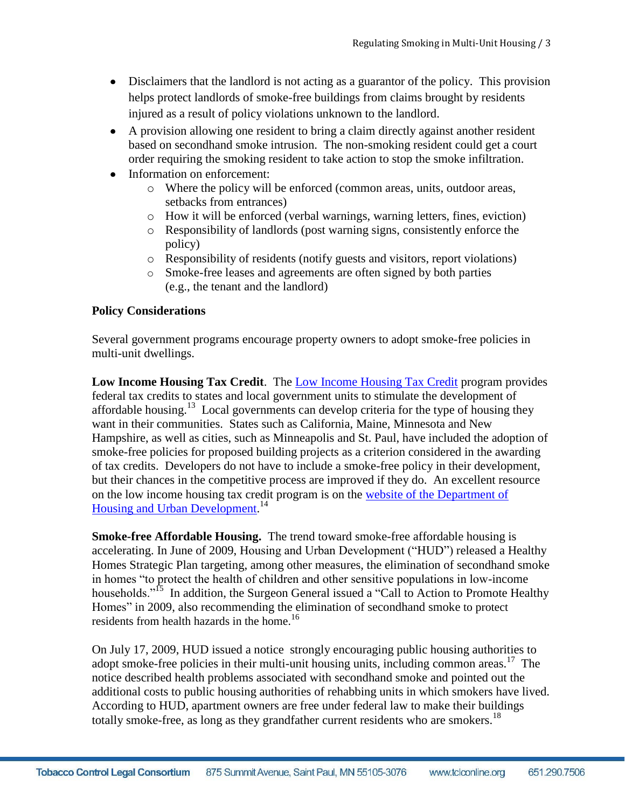- Disclaimers that the landlord is not acting as a guarantor of the policy. This provision helps protect landlords of smoke-free buildings from claims brought by residents injured as a result of policy violations unknown to the landlord.
- A provision allowing one resident to bring a claim directly against another resident based on secondhand smoke intrusion. The non-smoking resident could get a court order requiring the smoking resident to take action to stop the smoke infiltration.
- Information on enforcement:
	- o Where the policy will be enforced (common areas, units, outdoor areas, setbacks from entrances)
	- o How it will be enforced (verbal warnings, warning letters, fines, eviction)
	- o Responsibility of landlords (post warning signs, consistently enforce the policy)
	- o Responsibility of residents (notify guests and visitors, report violations)
	- o Smoke-free leases and agreements are often signed by both parties (e.g., the tenant and the landlord)

# **Policy Considerations**

Several government programs encourage property owners to adopt smoke-free policies in multi-unit dwellings.

**Low Income Housing Tax Credit**. The [Low Income Housing Tax Credit](http://www.hud.gov/offices/fheo/lihtcmou.cfm) program provides federal tax credits to states and local government units to stimulate the development of affordable housing.<sup>13</sup> Local governments can develop criteria for the type of housing they want in their communities. States such as California, Maine, Minnesota and New Hampshire, as well as cities, such as Minneapolis and St. Paul, have included the adoption of smoke-free policies for proposed building projects as a criterion considered in the awarding of tax credits. Developers do not have to include a smoke-free policy in their development, but their chances in the competitive process are improved if they do. An excellent resource on the low income housing tax credit program is on the [website of the Department of](http://www.hud.gov/offices/cpd/affordablehousing/training/web/lihtc/basics)  [Housing and Urban Development.](http://www.hud.gov/offices/cpd/affordablehousing/training/web/lihtc/basics)<sup>14</sup>

**Smoke-free Affordable Housing.** The trend toward smoke-free affordable housing is accelerating. In June of 2009, Housing and Urban Development ("HUD") released a Healthy Homes Strategic Plan targeting, among other measures, the elimination of secondhand smoke in homes "to protect the health of children and other sensitive populations in low-income households."<sup>15</sup> In addition, the Surgeon General issued a "Call to Action to Promote Healthy Homes" in 2009, also recommending the elimination of secondhand smoke to protect residents from health hazards in the home.<sup>16</sup>

On July 17, 2009, HUD issued a notice strongly encouraging public housing authorities to adopt smoke-free policies in their multi-unit housing units, including common areas.<sup>17</sup> The notice described health problems associated with secondhand smoke and pointed out the additional costs to public housing authorities of rehabbing units in which smokers have lived. According to HUD, apartment owners are free under federal law to make their buildings totally smoke-free, as long as they grandfather current residents who are smokers.<sup>18</sup>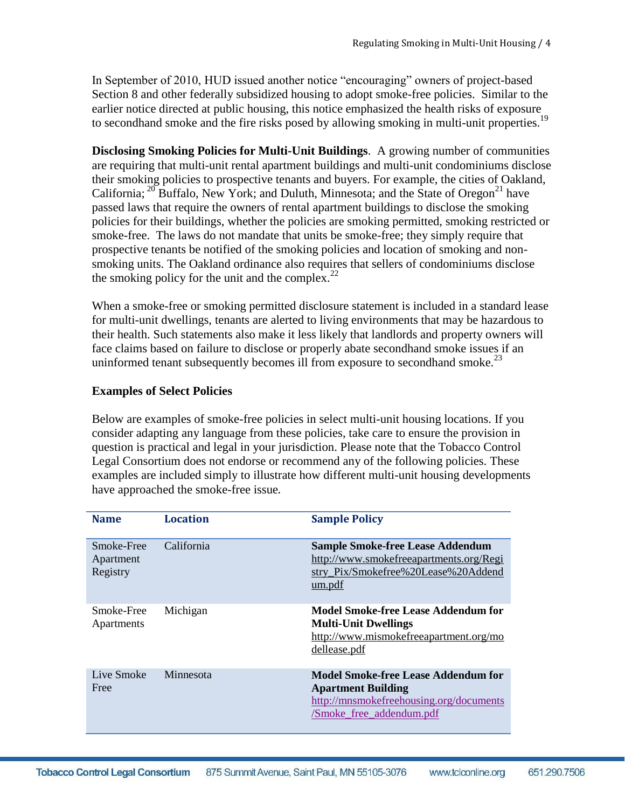In September of 2010, HUD issued another notice "encouraging" owners of project-based Section 8 and other federally subsidized housing to adopt smoke-free policies. Similar to the earlier notice directed at public housing, this notice emphasized the health risks of exposure to secondhand smoke and the fire risks posed by allowing smoking in multi-unit properties.<sup>19</sup>

**Disclosing Smoking Policies for Multi-Unit Buildings**. A growing number of communities are requiring that multi-unit rental apartment buildings and multi-unit condominiums disclose their smoking policies to prospective tenants and buyers. For example, the cities of Oakland, California;  $^{20}$  Buffalo, New York; and Duluth, Minnesota; and the State of Oregon<sup>21</sup> have passed laws that require the owners of rental apartment buildings to disclose the smoking policies for their buildings, whether the policies are smoking permitted, smoking restricted or smoke-free. The laws do not mandate that units be smoke-free; they simply require that prospective tenants be notified of the smoking policies and location of smoking and nonsmoking units. The Oakland ordinance also requires that sellers of condominiums disclose the smoking policy for the unit and the complex. $^{22}$ 

When a smoke-free or smoking permitted disclosure statement is included in a standard lease for multi-unit dwellings, tenants are alerted to living environments that may be hazardous to their health. Such statements also make it less likely that landlords and property owners will face claims based on failure to disclose or properly abate secondhand smoke issues if an uninformed tenant subsequently becomes ill from exposure to secondhand smoke.<sup>23</sup>

### **Examples of Select Policies**

Below are examples of smoke-free policies in select multi-unit housing locations. If you consider adapting any language from these policies, take care to ensure the provision in question is practical and legal in your jurisdiction. Please note that the Tobacco Control Legal Consortium does not endorse or recommend any of the following policies. These examples are included simply to illustrate how different multi-unit housing developments have approached the smoke-free issue.

| <b>Name</b>                         | <b>Location</b> | <b>Sample Policy</b>                                                                                                                    |
|-------------------------------------|-----------------|-----------------------------------------------------------------------------------------------------------------------------------------|
| Smoke-Free<br>Apartment<br>Registry | California      | <b>Sample Smoke-free Lease Addendum</b><br>http://www.smokefreeapartments.org/Regi<br>stry_Pix/Smokefree%20Lease%20Addend<br>um.pdf     |
| Smoke-Free<br>Apartments            | Michigan        | Model Smoke-free Lease Addendum for<br><b>Multi-Unit Dwellings</b><br>http://www.mismokefreeapartment.org/mo<br>dellease.pdf            |
| Live Smoke<br>Free                  | Minnesota       | Model Smoke-free Lease Addendum for<br><b>Apartment Building</b><br>http://mnsmokefreehousing.org/documents<br>/Smoke_free_addendum.pdf |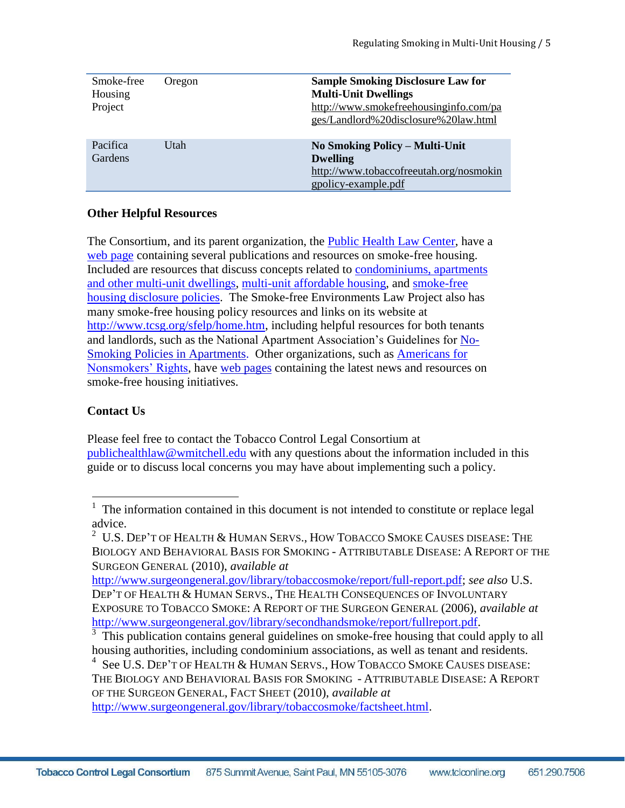| Smoke-free<br>Housing<br>Project | Oregon | <b>Sample Smoking Disclosure Law for</b><br><b>Multi-Unit Dwellings</b><br>http://www.smokefreehousinginfo.com/pa<br>ges/Landlord%20disclosure%20law.html |
|----------------------------------|--------|-----------------------------------------------------------------------------------------------------------------------------------------------------------|
| Pacifica<br>Gardens              | Utah   | No Smoking Policy – Multi-Unit<br><b>Dwelling</b><br>http://www.tobaccofreeutah.org/nosmokin<br>gpolicy-example.pdf                                       |

### **Other Helpful Resources**

The Consortium, and its parent organization, the [Public Health Law Center,](http://publichealthlawcenter.org/) have a [web page](http://www.publichealthlawcenter.org/topics/tobacco-control/smoking-regulation/housing) containing several publications and resources on smoke-free housing. Included are resources that discuss concepts related to [condominiums, apartments](http://www.publichealthlawcenter.org/sites/default/files/resources/tclc-syn-condos-2009_0.pdf)  [and other multi-unit dwellings,](http://www.publichealthlawcenter.org/sites/default/files/resources/tclc-syn-condos-2009_0.pdf) [multi-unit affordable housing,](http://www.publichealthlawcenter.org/sites/default/files/resources/tclc-syn-secondhand-2010_0.pdf) and [smoke-free](http://hennepin.timberlakepublishing.com/article.asp?article=1302&paper=1&cat=147)  [housing disclosure policies.](http://hennepin.timberlakepublishing.com/article.asp?article=1302&paper=1&cat=147) The Smoke-free Environments Law Project also has many smoke-free housing policy resources and links on its website at [http://www.tcsg.org/sfelp/home.htm,](http://www.tcsg.org/sfelp/home.htm) including helpful resources for both tenants and landlords, such as the National Apartment Association's Guidelines for [No-](http://www.tcsg.org/sfelp/NAA-SFMemo.pdf)Smoking Policies [in Apartments.](http://www.tcsg.org/sfelp/NAA-SFMemo.pdf) Other organizations, such as [Americans for](http://www.no-smoke.org/getthefacts.php)  [Nonsmokers' Rights,](http://www.no-smoke.org/getthefacts.php) have [web pages](http://www.no-smoke.org/goingsmokefree.php?id=101) containing the latest news and resources on smoke-free housing initiatives.

# **Contact Us**

Please feel free to contact the Tobacco Control Legal Consortium at [publichealthlaw@wmitchell.edu](mailto:publichealthlaw@wmitchell.edu) with any questions about the information included in this guide or to discuss local concerns you may have about implementing such a policy.

[http://www.surgeongeneral.gov/library/tobaccosmoke/report/full-report.pdf;](http://www.surgeongeneral.gov/library/tobaccosmoke/report/full-report.pdf) *see also* U.S. DEP'T OF HEALTH & HUMAN SERVS., THE HEALTH CONSEQUENCES OF INVOLUNTARY EXPOSURE TO TOBACCO SMOKE: A REPORT OF THE SURGEON GENERAL (2006), *available at* [http://www.surgeongeneral.gov/library/secondhandsmoke/report/fullreport.pdf.](http://www.surgeongeneral.gov/library/secondhandsmoke/report/fullreport.pdf)

<sup>3</sup> This publication contains general guidelines on smoke-free housing that could apply to all housing authorities, including condominium associations, as well as tenant and residents.

4 See U.S. DEP'T OF HEALTH & HUMAN SERVS., HOW TOBACCO SMOKE CAUSES DISEASE: THE BIOLOGY AND BEHAVIORAL BASIS FOR SMOKING - ATTRIBUTABLE DISEASE: A REPORT OF THE SURGEON GENERAL, FACT SHEET (2010), *available at* [http://www.surgeongeneral.gov/library/tobaccosmoke/factsheet.html.](http://www.surgeongeneral.gov/library/tobaccosmoke/factsheet.html)

**Tobacco Control Legal Consortium** 875 Summit Avenue, Saint Paul, MN 55105-3076 www.tclconline.org 651.290.7506

<sup>&</sup>lt;sup>1</sup> The information contained in this document is not intended to constitute or replace legal advice.

 $^2$  U.S. Dep't of Health & Human Servs., How Tobacco Smoke Causes disease: The BIOLOGY AND BEHAVIORAL BASIS FOR SMOKING - ATTRIBUTABLE DISEASE: A REPORT OF THE SURGEON GENERAL (2010), *available at*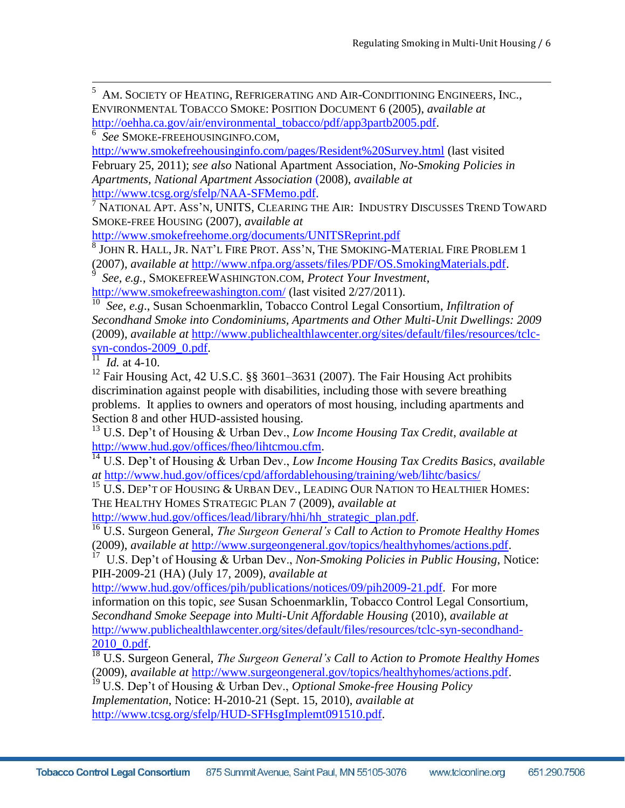5 AM. SOCIETY OF HEATING, REFRIGERATING AND AIR-CONDITIONING ENGINEERS, INC., ENVIRONMENTAL TOBACCO SMOKE: POSITION DOCUMENT 6 (2005), *available at*  [http://oehha.ca.gov/air/environmental\\_tobacco/pdf/app3partb2005.pdf.](http://oehha.ca.gov/air/environmental_tobacco/pdf/app3partb2005.pdf)

6 *See* SMOKE-FREEHOUSINGINFO.COM,

<http://www.smokefreehousinginfo.com/pages/Resident%20Survey.html> (last visited February 25, 2011); *see also* National Apartment Association, *No-Smoking Policies in Apartments, National Apartment Association* (2008), *available at* [http://www.tcsg.org/sfelp/NAA-SFMemo.pdf.](http://www.tcsg.org/sfelp/NAA-SFMemo.pdf)

 $^7$  National Apt. Ass'n, UNITS, Clearing the Air: Industry Discusses Trend Toward SMOKE-FREE HOUSING (2007), *available at*

<http://www.smokefreehome.org/documents/UNITSReprint.pdf>

8 JOHN R. HALL, JR. NAT'L FIRE PROT. ASS'N, THE SMOKING-MATERIAL FIRE PROBLEM 1 (2007), *available at* [http://www.nfpa.org/assets/files/PDF/OS.SmokingMaterials.pdf.](http://www.nfpa.org/assets/files/PDF/OS.SmokingMaterials.pdf) 9

 *See, e.g.*, SMOKEFREEWASHINGTON.COM, *Protect Your Investment*, <http://www.smokefreewashington.com/> (last visited 2/27/2011).

10 *See, e.g*., Susan Schoenmarklin, Tobacco Control Legal Consortium, *Infiltration of Secondhand Smoke into Condominiums, Apartments and Other Multi-Unit Dwellings: 2009* (2009), *available at* [http://www.publichealthlawcenter.org/sites/default/files/resources/tclc](http://www.publichealthlawcenter.org/sites/default/files/resources/tclc-syn-condos-2009_0.pdf)[syn-condos-2009\\_0.pdf.](http://www.publichealthlawcenter.org/sites/default/files/resources/tclc-syn-condos-2009_0.pdf)

 $^{11}$  *Id.* at 4-10.

 $\overline{a}$ 

<sup>12</sup> Fair Housing Act, 42 U.S.C. §§ 3601–3631 (2007). The Fair Housing Act prohibits discrimination against people with disabilities, including those with severe breathing problems. It applies to owners and operators of most housing, including apartments and Section 8 and other HUD-assisted housing.

<sup>13</sup> U.S. Dep't of Housing & Urban Dev., *Low Income Housing Tax Credit*, *available at* [http://www.hud.gov/offices/fheo/lihtcmou.cfm.](http://www.hud.gov/offices/fheo/lihtcmou.cfm)

<sup>14</sup> U.S. Dep't of Housing & Urban Dev., *Low Income Housing Tax Credits Basics*, *available at* <http://www.hud.gov/offices/cpd/affordablehousing/training/web/lihtc/basics/>

 $^{15}$  U.S. Dep't of Housing & Urban Dev., Leading Our Nation to Healthier Homes: THE HEALTHY HOMES STRATEGIC PLAN 7 (2009), *available at*

[http://www.hud.gov/offices/lead/library/hhi/hh\\_strategic\\_plan.pdf.](http://www.hud.gov/offices/lead/library/hhi/hh_strategic_plan.pdf)

<sup>16</sup> U.S. Surgeon General, *The Surgeon General's Call to Action to Promote Healthy Homes* 

(2009), *available at* [http://www.surgeongeneral.gov/topics/healthyhomes/actions.pdf.](http://www.surgeongeneral.gov/topics/healthyhomes/actions.pdf) 17 U.S. Dep't of Housing & Urban Dev., *Non-Smoking Policies in Public Housing*, Notice: PIH-2009-21 (HA) (July 17, 2009), *available at*

[http://www.hud.gov/offices/pih/publications/notices/09/pih2009-21.pdf.](http://www.hud.gov/offices/pih/publications/notices/09/pih2009-21.pdf) For more information on this topic, *see* Susan Schoenmarklin, Tobacco Control Legal Consortium, *Secondhand Smoke Seepage into Multi-Unit Affordable Housing* (2010), *available at* [http://www.publichealthlawcenter.org/sites/default/files/resources/tclc-syn-secondhand-](http://www.publichealthlawcenter.org/sites/default/files/resources/tclc-syn-secondhand-2010_0.pdf)[2010\\_0.pdf.](http://www.publichealthlawcenter.org/sites/default/files/resources/tclc-syn-secondhand-2010_0.pdf)

<sup>18</sup> U.S. Surgeon General, *The Surgeon General's Call to Action to Promote Healthy Homes*  (2009), *available at* [http://www.surgeongeneral.gov/topics/healthyhomes/actions.pdf.](http://www.surgeongeneral.gov/topics/healthyhomes/actions.pdf)

<sup>19</sup> U.S. Dep't of Housing & Urban Dev., *Optional Smoke-free Housing Policy Implementation*, Notice: H-2010-21 (Sept. 15, 2010), *available at* [http://www.tcsg.org/sfelp/HUD-SFHsgImplemt091510.pdf.](http://www.tcsg.org/sfelp/HUD-SFHsgImplemt091510.pdf)